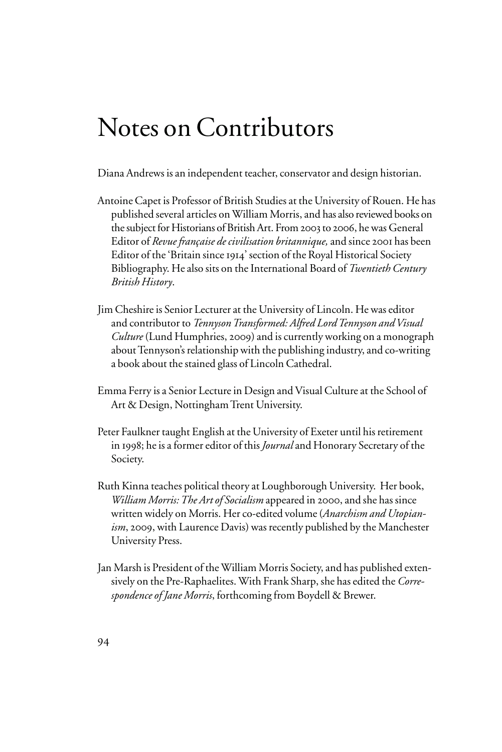## Notes on Contributors

Diana Andrews is an independent teacher, conservator and design historian.

- Antoine Capet is Professor of British Studies at the University of Rouen. He has published several articles on William Morris, and has also reviewed books on the subject for Historians of British Art. From 2003 to 2006, he was General Editor of *Revue française de civilisation britannique,* and since 2001 has been Editor of the 'Britain since 1914' section of the Royal Historical Society Bibliography. He also sits on the International Board of *Twentieth Century British History*.
- Jim Cheshire is Senior Lecturer at the University of Lincoln. He was editor and contributor to *Tennyson Transformed: Alfred Lord Tennyson and Visual Culture* (Lund Humphries, 2009) and is currently working on a monograph about Tennyson's relationship with the publishing industry, and co-writing a book about the stained glass of Lincoln Cathedral.
- Emma Ferry is a Senior Lecture in Design and Visual Culture at the School of Art & Design, Nottingham Trent University.
- Peter Faulkner taught English at the University of Exeter until his retirement in 1998; he is a former editor of this *Journal* and Honorary Secretary of the Society.
- Ruth Kinna teaches political theory at Loughborough University. Her book, *William Morris: The Art of Socialism* appeared in 2000, and she has since written widely on Morris. Her co-edited volume (*Anarchism and Utopianism*, 2009, with Laurence Davis) was recently published by the Manchester University Press.
- Jan Marsh is President of the William Morris Society, and has published extensively on the Pre-Raphaelites. With Frank Sharp, she has edited the *Correspondence of Jane Morris*, forthcoming from Boydell & Brewer.